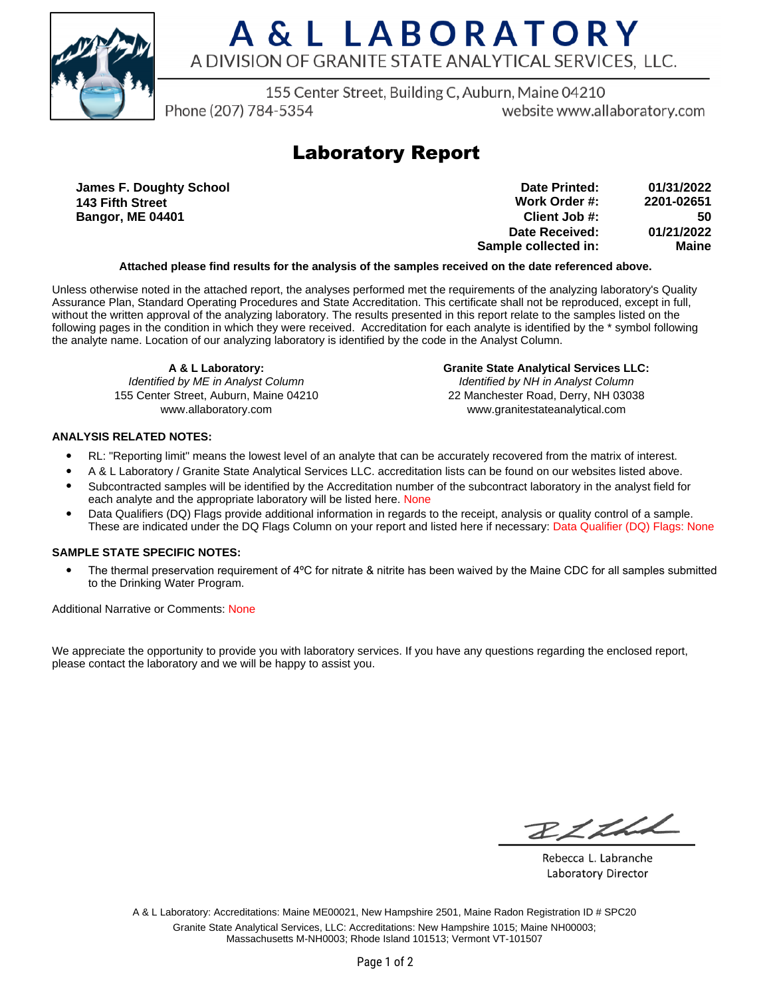

# A & L LABORATORY A DIVISION OF GRANITE STATE ANALYTICAL SERVICES. LLC.

155 Center Street, Building C, Auburn, Maine 04210

Phone (207) 784-5354

website www.allaboratory.com

## **Laboratory Report**

**James F. Doughty School 143 Fifth Street Bangor, ME 04401**

| Date Printed:        | 01/31/2022 |
|----------------------|------------|
| Work Order #:        | 2201-02651 |
| Client Job #:        | 50         |
| Date Received:       | 01/21/2022 |
| Sample collected in: | Maine      |

### **Attached please find results for the analysis of the samples received on the date referenced above.**

Unless otherwise noted in the attached report, the analyses performed met the requirements of the analyzing laboratory's Quality Assurance Plan, Standard Operating Procedures and State Accreditation. This certificate shall not be reproduced, except in full, without the written approval of the analyzing laboratory. The results presented in this report relate to the samples listed on the following pages in the condition in which they were received. Accreditation for each analyte is identified by the \* symbol following the analyte name. Location of our analyzing laboratory is identified by the code in the Analyst Column.

**A & L Laboratory:** Identified by ME in Analyst Column 155 Center Street, Auburn, Maine 04210 www.allaboratory.com

**Granite State Analytical Services LLC:** Identified by NH in Analyst Column 22 Manchester Road, Derry, NH 03038 www.granitestateanalytical.com

### **ANALYSIS RELATED NOTES:**

- RL: "Reporting limit" means the lowest level of an analyte that can be accurately recovered from the matrix of interest.
- A & L Laboratory / Granite State Analytical Services LLC. accreditation lists can be found on our websites listed above.
- Subcontracted samples will be identified by the Accreditation number of the subcontract laboratory in the analyst field for each analyte and the appropriate laboratory will be listed here. None
- Data Qualifiers (DQ) Flags provide additional information in regards to the receipt, analysis or quality control of a sample. These are indicated under the DQ Flags Column on your report and listed here if necessary: Data Qualifier (DQ) Flags: None

### **SAMPLE STATE SPECIFIC NOTES:**

• The thermal preservation requirement of 4°C for nitrate & nitrite has been waived by the Maine CDC for all samples submitted to the Drinking Water Program.

Additional Narrative or Comments: None

We appreciate the opportunity to provide you with laboratory services. If you have any questions regarding the enclosed report, please contact the laboratory and we will be happy to assist you.

RICH

Rebecca L. Labranche Laboratory Director

A & L Laboratory: Accreditations: Maine ME00021, New Hampshire 2501, Maine Radon Registration ID # SPC20 Granite State Analytical Services, LLC: Accreditations: New Hampshire 1015; Maine NH00003; Massachusetts M-NH0003; Rhode Island 101513; Vermont VT-101507